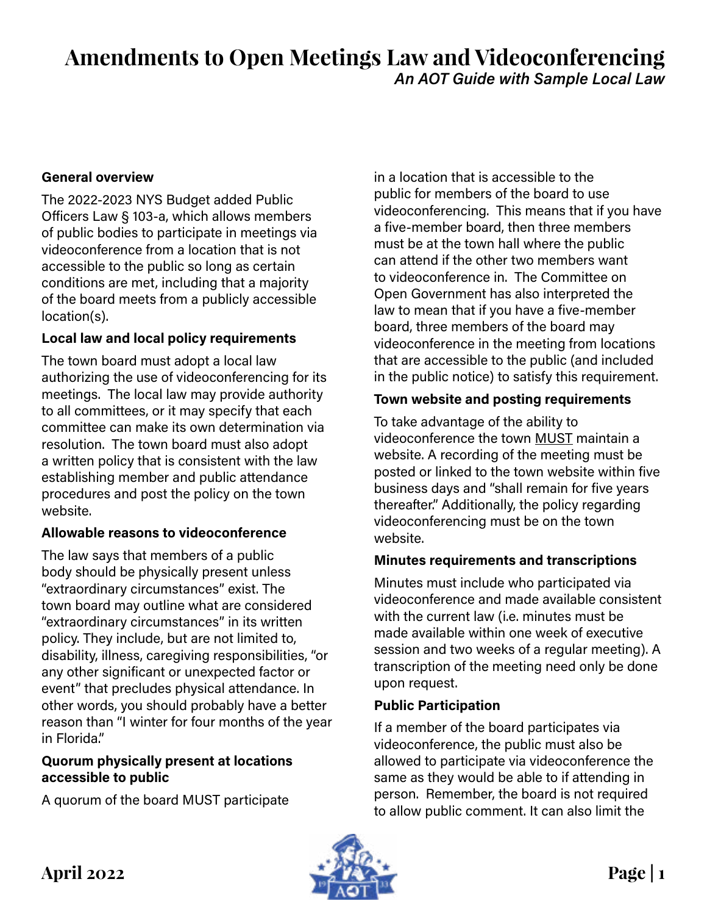# **Amendments to Open Meetings Law and Videoconferencing** *An AOT Guide with Sample Local Law*

#### **General overview**

The 2022-2023 NYS Budget added Public Officers Law § 103-a, which allows members of public bodies to participate in meetings via videoconference from a location that is not accessible to the public so long as certain conditions are met, including that a majority of the board meets from a publicly accessible location(s).

## **Local law and local policy requirements**

The town board must adopt a local law authorizing the use of videoconferencing for its meetings. The local law may provide authority to all committees, or it may specify that each committee can make its own determination via resolution. The town board must also adopt a written policy that is consistent with the law establishing member and public attendance procedures and post the policy on the town website.

## **Allowable reasons to videoconference**

The law says that members of a public body should be physically present unless "extraordinary circumstances" exist. The town board may outline what are considered "extraordinary circumstances" in its written policy. They include, but are not limited to, disability, illness, caregiving responsibilities, "or any other significant or unexpected factor or event" that precludes physical attendance. In other words, you should probably have a better reason than "I winter for four months of the year in Florida."

## **Quorum physically present at locations accessible to public**

A quorum of the board MUST participate

in a location that is accessible to the public for members of the board to use videoconferencing. This means that if you have a five-member board, then three members must be at the town hall where the public can attend if the other two members want to videoconference in. The Committee on Open Government has also interpreted the law to mean that if you have a five-member board, three members of the board may videoconference in the meeting from locations that are accessible to the public (and included in the public notice) to satisfy this requirement.

## **Town website and posting requirements**

To take advantage of the ability to videoconference the town MUST maintain a website. A recording of the meeting must be posted or linked to the town website within five business days and "shall remain for five years thereafter." Additionally, the policy regarding videoconferencing must be on the town website.

## **Minutes requirements and transcriptions**

Minutes must include who participated via videoconference and made available consistent with the current law (i.e. minutes must be made available within one week of executive session and two weeks of a regular meeting). A transcription of the meeting need only be done upon request.

## **Public Participation**

If a member of the board participates via videoconference, the public must also be allowed to participate via videoconference the same as they would be able to if attending in person. Remember, the board is not required to allow public comment. It can also limit the

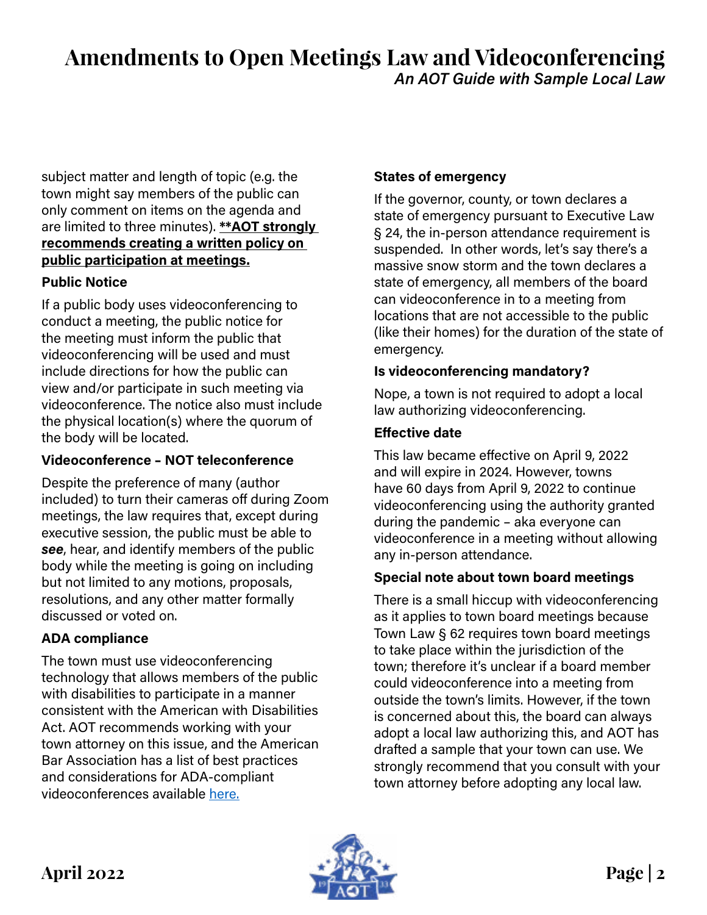# **Amendments to Open Meetings Law and Videoconferencing** *An AOT Guide with Sample Local Law*

subject matter and length of topic (e.g. the town might say members of the public can only comment on items on the agenda and are limited to three minutes). **\*\*AOT strongly recommends creating a written policy on public participation at meetings.**

## **Public Notice**

If a public body uses videoconferencing to conduct a meeting, the public notice for the meeting must inform the public that videoconferencing will be used and must include directions for how the public can view and/or participate in such meeting via videoconference. The notice also must include the physical location(s) where the quorum of the body will be located.

## **Videoconference – NOT teleconference**

Despite the preference of many (author included) to turn their cameras off during Zoom meetings, the law requires that, except during executive session, the public must be able to *see*, hear, and identify members of the public body while the meeting is going on including but not limited to any motions, proposals, resolutions, and any other matter formally discussed or voted on.

# **ADA compliance**

The town must use videoconferencing technology that allows members of the public with disabilities to participate in a manner consistent with the American with Disabilities Act. AOT recommends working with your town attorney on this issue, and the American Bar Association has a list of best practices and considerations for ADA-compliant videoconferences available [here.](https://www.americanbar.org/groups/diversity/disabilityrights/resources/covid-resources/virtual-meetings-checklist/)

# **States of emergency**

If the governor, county, or town declares a state of emergency pursuant to Executive Law § 24, the in-person attendance requirement is suspended. In other words, let's say there's a massive snow storm and the town declares a state of emergency, all members of the board can videoconference in to a meeting from locations that are not accessible to the public (like their homes) for the duration of the state of emergency.

## **Is videoconferencing mandatory?**

Nope, a town is not required to adopt a local law authorizing videoconferencing.

## **Effective date**

This law became effective on April 9, 2022 and will expire in 2024. However, towns have 60 days from April 9, 2022 to continue videoconferencing using the authority granted during the pandemic – aka everyone can videoconference in a meeting without allowing any in-person attendance.

# **Special note about town board meetings**

There is a small hiccup with videoconferencing as it applies to town board meetings because Town Law § 62 requires town board meetings to take place within the jurisdiction of the town; therefore it's unclear if a board member could videoconference into a meeting from outside the town's limits. However, if the town is concerned about this, the board can always adopt a local law authorizing this, and AOT has drafted a sample that your town can use. We strongly recommend that you consult with your town attorney before adopting any local law.